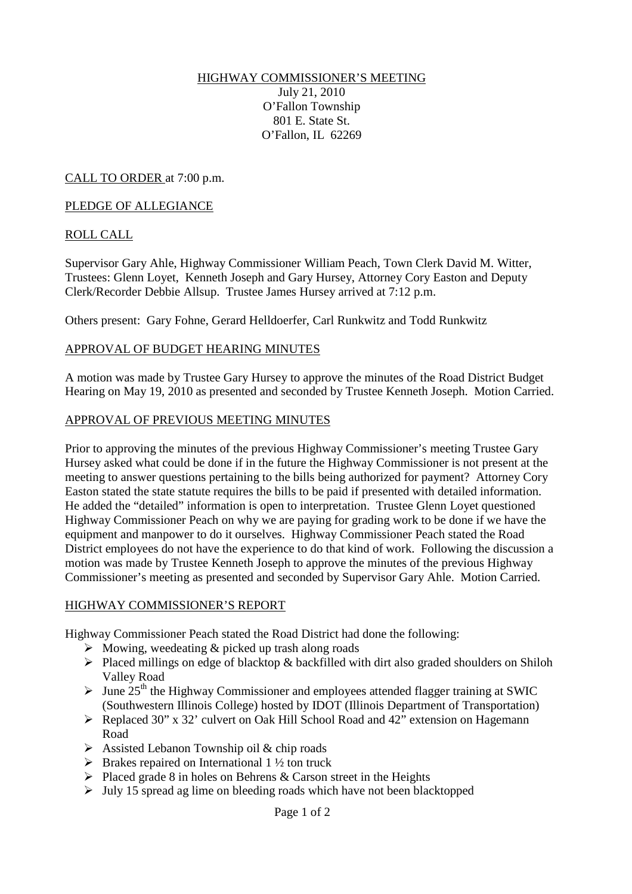#### HIGHWAY COMMISSIONER'S MEETING July 21, 2010 O'Fallon Township 801 E. State St. O'Fallon, IL 62269

CALL TO ORDER at 7:00 p.m.

#### PLEDGE OF ALLEGIANCE

### ROLL CALL

Supervisor Gary Ahle, Highway Commissioner William Peach, Town Clerk David M. Witter, Trustees: Glenn Loyet, Kenneth Joseph and Gary Hursey, Attorney Cory Easton and Deputy Clerk/Recorder Debbie Allsup. Trustee James Hursey arrived at 7:12 p.m.

Others present: Gary Fohne, Gerard Helldoerfer, Carl Runkwitz and Todd Runkwitz

### APPROVAL OF BUDGET HEARING MINUTES

A motion was made by Trustee Gary Hursey to approve the minutes of the Road District Budget Hearing on May 19, 2010 as presented and seconded by Trustee Kenneth Joseph. Motion Carried.

### APPROVAL OF PREVIOUS MEETING MINUTES

Prior to approving the minutes of the previous Highway Commissioner's meeting Trustee Gary Hursey asked what could be done if in the future the Highway Commissioner is not present at the meeting to answer questions pertaining to the bills being authorized for payment? Attorney Cory Easton stated the state statute requires the bills to be paid if presented with detailed information. He added the "detailed" information is open to interpretation. Trustee Glenn Loyet questioned Highway Commissioner Peach on why we are paying for grading work to be done if we have the equipment and manpower to do it ourselves. Highway Commissioner Peach stated the Road District employees do not have the experience to do that kind of work. Following the discussion a motion was made by Trustee Kenneth Joseph to approve the minutes of the previous Highway Commissioner's meeting as presented and seconded by Supervisor Gary Ahle. Motion Carried.

#### HIGHWAY COMMISSIONER'S REPORT

Highway Commissioner Peach stated the Road District had done the following:

- $\triangleright$  Mowing, weedeating & picked up trash along roads
- $\triangleright$  Placed millings on edge of blacktop & backfilled with dirt also graded shoulders on Shiloh Valley Road
- $\triangleright$  June 25<sup>th</sup> the Highway Commissioner and employees attended flagger training at SWIC (Southwestern Illinois College) hosted by IDOT (Illinois Department of Transportation)
- $\triangleright$  Replaced 30" x 32" culvert on Oak Hill School Road and 42" extension on Hagemann Road
- $\triangleright$  Assisted Lebanon Township oil & chip roads
- $\triangleright$  Brakes repaired on International 1 ½ ton truck
- $\triangleright$  Placed grade 8 in holes on Behrens & Carson street in the Heights
- $\triangleright$  July 15 spread ag lime on bleeding roads which have not been blacktopped